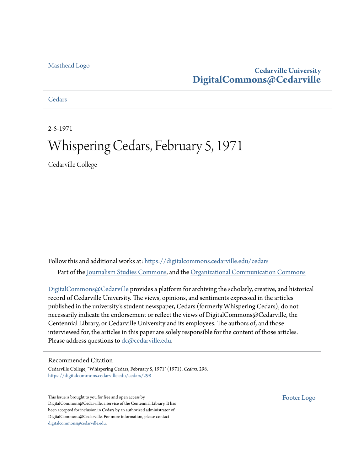#### [Masthead Logo](http://www.cedarville.edu/?utm_source=digitalcommons.cedarville.edu%2Fcedars%2F298&utm_medium=PDF&utm_campaign=PDFCoverPages)

#### **Cedarville University [DigitalCommons@Cedarville](https://digitalcommons.cedarville.edu?utm_source=digitalcommons.cedarville.edu%2Fcedars%2F298&utm_medium=PDF&utm_campaign=PDFCoverPages)**

#### **[Cedars](https://digitalcommons.cedarville.edu/cedars?utm_source=digitalcommons.cedarville.edu%2Fcedars%2F298&utm_medium=PDF&utm_campaign=PDFCoverPages)**

2-5-1971

## Whispering Cedars, February 5, 1971

Cedarville College

Follow this and additional works at: [https://digitalcommons.cedarville.edu/cedars](https://digitalcommons.cedarville.edu/cedars?utm_source=digitalcommons.cedarville.edu%2Fcedars%2F298&utm_medium=PDF&utm_campaign=PDFCoverPages) Part of the [Journalism Studies Commons](http://network.bepress.com/hgg/discipline/333?utm_source=digitalcommons.cedarville.edu%2Fcedars%2F298&utm_medium=PDF&utm_campaign=PDFCoverPages), and the [Organizational Communication Commons](http://network.bepress.com/hgg/discipline/335?utm_source=digitalcommons.cedarville.edu%2Fcedars%2F298&utm_medium=PDF&utm_campaign=PDFCoverPages)

[DigitalCommons@Cedarville](http://digitalcommons.cedarville.edu/) provides a platform for archiving the scholarly, creative, and historical record of Cedarville University. The views, opinions, and sentiments expressed in the articles published in the university's student newspaper, Cedars (formerly Whispering Cedars), do not necessarily indicate the endorsement or reflect the views of DigitalCommons@Cedarville, the Centennial Library, or Cedarville University and its employees. The authors of, and those interviewed for, the articles in this paper are solely responsible for the content of those articles. Please address questions to [dc@cedarville.edu.](mailto:dc@cedarville.edu)

#### Recommended Citation

Cedarville College, "Whispering Cedars, February 5, 1971" (1971). *Cedars*. 298. [https://digitalcommons.cedarville.edu/cedars/298](https://digitalcommons.cedarville.edu/cedars/298?utm_source=digitalcommons.cedarville.edu%2Fcedars%2F298&utm_medium=PDF&utm_campaign=PDFCoverPages)

This Issue is brought to you for free and open access by DigitalCommons@Cedarville, a service of the Centennial Library. It has been accepted for inclusion in Cedars by an authorized administrator of DigitalCommons@Cedarville. For more information, please contact [digitalcommons@cedarville.edu](mailto:digitalcommons@cedarville.edu).

[Footer Logo](http://www.cedarville.edu/Academics/Library.aspx?utm_source=digitalcommons.cedarville.edu%2Fcedars%2F298&utm_medium=PDF&utm_campaign=PDFCoverPages)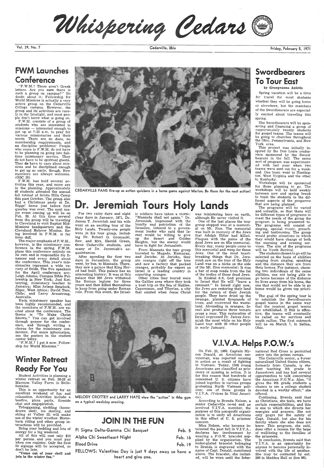Whispering Cedars C

Vol. 39, No. 7

### FWM Launches Conference

"F.W.M.? Those aren't Greek letters. Are you sure there is such a group on campus?" No doubt about it; Fellowship for World Missions is actually a very active group on the Cedarville College campus. However, the group and its activities are rarely in the limelight, and most peo <sup>p</sup>le don't know what is going on.

F.W.M. consists of a group of students who are interested in missions - interested enough to get up at 7:25 a.m. to pray for various missionaries and their needs. There are no dues, no membership requirements, and no discipline problems! People who come to F.W.M. do not have to be planning on going into fulltime missionary service. They do not have to be spiritual giants. They do have to care about missions and be disciplined enough to get up so early, though. New members are always welcome. (GSC 26)

The major emphasis of F.W.M., however, is the missionary conference in the spring. F.W.M. <sup>p</sup>lans this conference entirely on its own and *is* responsible for finances and every detail about the conference. This year's missionaries represent a wide variety of fields. The five speakers for the April conference are: Leigh Adams, Campus Bible Fellowship in New York; Joel Kettenring, missionary teacher to Jamaica; Miss Arlene Spurlock, Niger, West Africa; David Toro, Chile; and Larry Armstrong, Australia.

F.W.M. has held several activities this year, and more are in the planning. Approximately 40 students attended the annual fall retreat at Scioto Hills Camp this past October. The group also had a Christmas party at Dr. Riggs' home just before first quarter was over. The next major event coming up will be on Feb. 20. At this time several from the group will be traveling to Cleveland to visit Baptist Mid-Missions headquarters and the • Cleveiand Hebrew Mission. Being involved in F.W.M. is far from dull.

## Winter Retreat **Ready For You**

Each missionary speaker has been highly recommended, and the members of F.W.M. are excited about the conference. The theme is "To Make Christ Known." You can get involved through prayer for the conference, and through writing <sup>a</sup> chorus for the missionary conference. For more information, see the posters in the student center lobby.

Other cities they toured were the Galilee area where they took a boat trip on the Sea of Galilee, Capernaum, and Tiberias, a city<br>that existed when Jesus Christ

ic soldiers have taken a motto: was ministering here on earth, "Massada shall not agan." Dr. although He never visited it.<br>Jeremiah, impressed with the One of the last places the tour loyalty and patriotism of the group st

"F.W.M.? I get it now. Fellow-

ship for World Missions."

Student Activities is planning <sup>a</sup> winter retreat on Feb. 26-28 at Marmon Valley Farm in Bellefontaine.

This is an opportunity for an excellent weekend of fun and relaxation. Activities include a bonfire, pizza party, fireside chat and singspiration.

Tobogganing, sledding (horsedrawn sled), ice skating, and skiing at Valley Hi will make use of the winter weather. Horseback riding and other group interactions will be provided.

## Swordbearers To Tour East

Bring your bedding and lots of energy for a big weekend.

All of this will cost only \$10 per person . and you must pay when you register. Only the first 50 signups will be accepted, so don't be late.

"Come out of your shell and join in the winter fun."

Cedarville, Ohio



CEDARVILLE FANS fire-up· as action quickens in a home game against Marion. Be there for the next action!

## Dr. Jeremiah Tours Holy Lands

For two rainy days and eight clear days in January, 1971, Dr. James T. Jeremiah and his wife went on an exciting tour of the Holy Lands. Twenty-one people were in his tour group, including Dr. Robert G. Gromacki, Rev. and. Mrs. Harold Green, three Cedarville students, and many of Dr. Jeremiah's acquaintances.

After spending the first two days in Jerusalem, the group went, by bus, to Massada. There, they saw a palace that King Herod had built. This palace has an interesting history: It was at this palace that 900 Jews withstood the Roman legions for three years and then killed themselves to keep from going under Roman rule. From this event, the Israel-

ic soldiers have taken a motto: "Massada shall not again." Dr. Jeremiah, impressed with the loyalty and patriotism of the Israelics, listened to a government leader who said that Is- rael would be willing to give up the desert and Golden Heights, but the enemy would have to fight for Jerusalem.

From Massada the tour group traveled to Magado, Kumaran, and Jericho. At Jericho, they ate oranges right off the tree and saw a factory that packed oranges, probably for export as Israel is a leading country in exporting oranges.

 people. They have dried up the swamps, planted thousands of trees, and recovered the wasteland. Abounding in oranges, Israel also produces three tomato crops a year. This restoration of Israel impressed Dr. James Jeremiah the most while on his Holy Land tour with 20 other people in early January.

Friday, February 5, 1971

by Georgeanna Axiotis

Spring vacation will be a time for travel for most students whether they will be going home or elsewhere, but the members of the Swordbearers are especially excited about traveling this spring.

The Swordbearers will be sponsoring and financing a group of approximately twenty students for gospel teams. The teams will be going to churches throughout the Ohio, Pennsylvania, and New York area.

This project was initially inspired by the Don Lonie conference sponsored by the Sword-bearers in the fall. The same sort of program was experimented with last year when two teams were sent out for a weekend. One team went to Huntington, West Virginia and the other to Kentucky.

Workshops will be sponsored for those planning to go. The workshops will be held weekly between now and spring break to train the students in the different aspects of the progarms that are being planned.

The programs will be varied and versatile, so that there will be different types of programs to meet the needs of the group the program is being presented to. The programs will consist of singing, special music,. preach ing and testimonies. The group would prefer situations in which they would have charge of both the morning and evening services. The aim of the programs will be Youth Revival.

 The students chosen to go will be selected on the basis of abilities ranging from singing, speaking and the distance they are from their homes. For instance, choosing two individuals of the same abilities, one not being able to go home because of the distance he lives away from his home, the one that would not be able to go home would be given top priority.

The goal of the spring tour is to establish the Swordbearers gospel teams in the same way that the musical gospel teams are established. If this is effective, the teams will eventually be called on for services and youth rallies. The first outreach will be on March 7, in Salina, Ohio.



V.I.V.A. Helps P.O.W.'s

MELODY CROTTEY and LARRY HAYE view the "action" in thhe gym on a typical weekday evening.

### JOIN IN THE FUN

Pi Sigma Delta-Gamma Chi Banquet

Alpha Chi Sweetheart Night

Blood Drive

Feb. 5 Feb. 16 Feb. 19

FELLOWS: Valentines Day is just 9 days away so have a heart and give one.

On Feb. 23, 1968, Captain My-ron Donald, an American serviceman, was reported missing in action as a result of fighting in Vietnam. Today, 1500 young Americans are classified as prisoners or missing in action. It is for this reason that hundreds of concerned U. S. citizens have joined together in various groups protesting North Vietnam policies; one of these groups is V.I.V.A. (Voices In Vital America).

According to Brenda Nelson, <sup>a</sup> senior Cedarville co-ed and an involved V.I.V.A. member, the purpose of this non-profit organization is to unify all Americans in this effort of U. S: prisoner concern.

 Miss Nelson, who became interested the past fall in V.I.V.A., declares her involvement by wearing a P.0.W. bracelet supplied by the organization. The nickel-plated bracelet belonging to Brenda is engraved with the name of Capt. Donald, mentioned above. The bracelet, she included, will be worn until the International Red Cross is permitted entry into the prison camps.

The Cedarville senior, a 6-year naturalized United States citizen, formerly from Canada, is stu dent teaching 9th grade in Jamestown and has had several opportunities to talk concerning the American P.0.W.s. Also, "it gives the 9th grade students a chance to see a college student devoted in a worthy effort," she offered.

Continuing, Brenda said that as Christians, she feels, we have certain responsibilities, and this is one to which she directs her energies and prayers. She not only prays for the safety of Capt. Donald, but also for his family whom she also does not know. This program, she said, does offer a reason for the hope of well-being to the families of the prisoners.

In conclusion, Brenda said that V.I.V.A. is an opportunity for anyone to become personally in volved with the life of another. She may be contacted by ext. 280 in Maddox Hall or Box 861.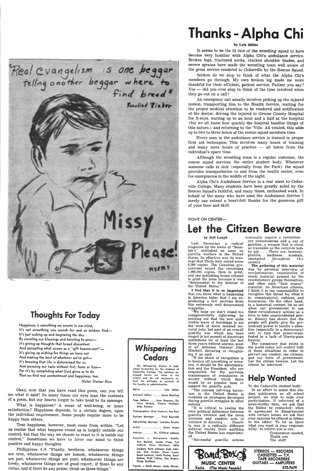

## Thoughts For Today

Happiness is something we create in our mind, It's not something you search for and so seldom find-It's just waking up and beginning the day By counting our blessings and kneeling to pray-It's giving up thoughts that breed discontent



## **Thanks - Alpha Chi**

And accepting what comes as a "gift heaven-sent"lt's giving up wishing for things we have not And making the best of whatever we've got-It's knowing that life is determined for us, And pursuing our tasks without fret, fume or fuss-For it's by completing what God gives us to do That we find real contentment and happiness, too.

*Helen Steiner Rice* 

Okay, now that you have read this poem, can you tell me what it said? So many times our eyes scan the contents of a poem, but our hearts forget to take heed to its message.

What is happiness? A sense of well-being, or inner satisfaction? Happiness depends, to a certain degree, upon the individual requirement. Some people require more to be happy than others.

True happiness, however, must come from within. "Let us realize that what happens round us is largely outside our control, but that the way we choose to react to it is inside our control." Sometimes we have to force our mind to think positive and happy thoughts.

Philippians 4:8 "Finally, brethren, whatsoever things are true, whatsoever things are honest, whatsoever things are just, whatsoever things are pure, whatsoever things are lovely, whatsoever things are of good report; if there be any virtue, and if there be any praise, think on these things."

### *Whispering Cedars*

The Whispering Cedars is published bi-monthly by the students of Cedarville College. The opinions expressed herein are those of the **writers and do not necessarily re**flect the attitudes or opinions of the faculty or administration.

Editor ................ Lyle Miller

Assistant Editor ...... Jayne Eberling

Page Editors .... Jane Emerson, Patricia Hickok, Valerie Holfield, Glen Kemerv

Photographers Glen Huebner, Roy Kern

Business Manager .... Vicki Reynolds

Although the wrestling team is a regular customer, the rescue squad services the entire student body. Whenever someone calls in sick ( especially from the Park) the squad provides transportation to and from the health center, even for emergencies in the middle of the night.

Advertising Manager Lauralee Grable

Artist ............... Dawn Myers

Advisor ........ Dr. Clifford Johnson

**Reporters - Georgeanna Axiotis,**  Ron Bechtel, Jackie. Cline, Ted Gifford, Steve Harriman, Mike Jackson, Barb Johnson, Judy John**son, Kim Gerber, Nanci Layne,**  Susan Leonard, Linda Pauley, Susan Selden, Vicki Tobias, Rex Rogers, Cindy Rathbun.

Typists - Becki Moore, Linda Shorey.

#### by Lyle Miller

It seems to be the ill fate of the wrestling squad to have become very familiar with Alpha Chi's ambulance service. Broken legs, fractured necks, cracked shoulder blades, and severe sprains have made the wrestling team well aware of the great service rendered to Cedarville by the Rescue Squad.

Seldom do we stop to think of what the Alpha Chi's members go through. My own broken leg made me more thankful for their efficient, patient service. Patient you say?  $Yes$   $-$  did you ever stop to think of the time involved when they go out on a call?

> minimally require a revolutionary consciousness and a can of gasoline, <sup>a</sup>weapon that is about as traceable as the common bobby pin . . . There are, however,<br>guerilla lendlease arsenals, guerilla lendlease arsenals,<br>stockpiled throughout the throughout the country.

An emergency call usually involves picking up the injured person, transporting him to the Health Service, waiting for the proper medical attention to be rendered and notification of the doctor, driving the injured to Greene County Hospital for X-rays, waiting up to an hour and a half at the hospital (for we all know how quickly the hospital handles things of this nature,) and returning to the 'Ville. All totaled, this adds up to two to three hours of the rescue squad members time.

Every man in the ambulance service is trained in proper first aid techniques. This involves many hours of training and many more hours of practice  $-$  all taken from the individual's spare time.

Alpha Chi's Ambulance Service is a real asset to Cedarville College. Many students have been greatly aided by the Rescue Squad's faithful, and many times, unthanked work. In behalf of the many who have used the Ambulance Service I surely can extend a heart-felt thanks for the generous gift of your time and skill.

#### RIGHT ON CENTER-

## Let the Citizen Beware

#### by Jeff Lough

Last December a radical magazine by the name of "Scanlan's" published an issue on guerilla warfare in the United States. So effective was its message that Uncle Sam seized some 6,000 copies. The Canadian govarnment seized the remaining 1,000,000 copies, then in print, and one publishing house refused to print the issue because it was "detrimental to the interest of the United States."

<sup>I</sup>feel that it is so important that you know what is happening in America today that I am reproducing a few sections from this extremely well documented magazine.

"We hope we don't sound too conspiratorially right-wing by pointing out that the now quite visible wave of bombings is not the work of some isolated terrorist nuts, but part of an overall guerilla war which has been waged in hot pursuit of American institutions for at least the last three years without anyone, most of all Attorney General John Mitchell, declaring or recognizing it as such. "If the shock of recognition is to bounce off something or someone, it should be the administration and the President, who are responsible for the perverse maintenance of imbalances in society without which there would be no popular base or support for guerilla acts. "The current left-wing terrorism in the United States is modeled on strategies developed during guerilla struggles in other nations ... "It is critical to realize the very political difference between guerilla violence and the more common and random acts of violence in America . . . Guerilla war is a radically different political reality from anything the United States has experienced ...

"Successful guerilla actions

The gathering of this material was by personal interview of revolutionaries, examination of much material printed by the revolutionary groups themselves, and other such "first source" material. As American citizens, <sup>I</sup>think it is our responsibility to recognize this threat for what it is: conspiratorial, ruthless, and treasonous. On the other hand, in a historical context, let us not allow our government to use these revolutionary actions as <sup>a</sup> time to take unprecedented power. History has shown that the people will gladly give the government power to handle a situation (especially in a democracy) only to find that power-manifested in a lack of liberty-gone forever.



The conspiracy that exists in the world today will control both of these situations in order to pervert our country, our citizens, and our form of government. Let the citizen beware. Let the citizen be informed.

## Help Wanted

To the Cedarville student body: In an effort to make this student publication an all school project, we wish to urge your participation. If informed of <sup>a</sup> news-worthy item, we ask that the Editor be contacted; when in agreement or disagreement with certain issues we ask that your opinions be offered in letters to the editor. To let us know what you want is your responsibility; to inform you is our.

Cooperation needed, Thank you The staff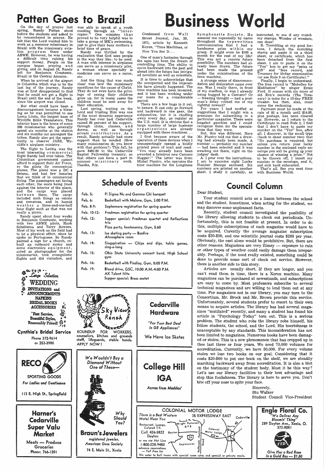## Patten Goes to Brazil **Rush**

On the day of prayer last spring, Randy Patten stood before the students and asked to be remembered in prayer. He felt that the Lord wanted him to work as a summer missionary in Brazil with the missionary aviation program there under ABWE. However, he was having a difficult time raising his support money. People on the campus began praying and giving, and on August 16, Randy left for Benjamin Constante, Brazil in the Central Amazon.

The flight to Letitia was the most interesting commercial flight Randy had ever taken. The Columbian government cannot afford to support their Air Force, so the pilots fly commercial planes. The plane was a DC 4 Setana, and had few luxuries that we think of in commercial flying. The passengers sat facing each other, the seats being lined against the interior of the plane, and the cargo was placed between them. The cargo included such things as onions and tomatoes, and in humid w e at her a three-and-one-half hour flight such as that was not really a picnic.

When he arrived at the airport in Columbia which was to be the last leg of the journey, Randy was at first disappointed to find that he could not get a flight to Brazil until the end of the week, since the airport was closed.

· But what could have been <sup>a</sup> discouragement became a blessing as he was permitted to see Loma Linda, the largest base of Wycliffe Bible Translators. This interior base is the home of some 200 missionaries who generally spend six months at the station and six months out amongest the tribes. Randy also got the opportunity to observe JARS, Wycliffe's airplane ministry.

\$-CWiJt•:O ...  $\overline{\mathcal{G}}$  *Large* Selection § WEDDING<br> **•** INVITATIONS and  $\bullet$ ,6 lNVITATIONS and !· ANNOUNCEMENTS NAPKINS BBIDAL BOOKS • ACCESSORIES  $\mathfrak{F}_{\varepsilon}$ 'Fast Service,  $\hat{\mathbb{G}}$ Beautiful Styles, Reasonably Priced!  $\mathbb{G}^*$ 

Randy spent about four weeks in Benjamin Constante, working with two ABWE pilots, Hank Scheltema and Terry Bowers. Most of his work on the field had to be a physical effort, since he spoke no Portuguese. So Randy painted a sign for a church, rebuilt an outboard motor and some electronics equipment, acted as photographer for the missionaries, took evangelistic flights and did visitation, and

Cynthia's Bridal Service Phone 372-9614 or 252-3980

was able to speak at a youth meeting through an ' 'interrupter." One ministry that proved to be very helpful was to take <sup>a</sup>group of MK's swimming, just to give their busy mothers <sup>a</sup> brief time of peace.

Randy was thrilled by the realization that God uses people in the way they like; to be used. A man with interest in airplanes can serve as a missionary pilot, <sup>a</sup>woman whose specialty is medicine can serve as a nurse, etc.

> A strange sense of disacommodation and dislocation came over Was I really there, in front ly mailbox, or was I already being hugged by a Camaro? Or  $f$ eezing thought  $-$  had a post-'s delay robbed me of my tful reward?

 And the thing that was made clear was how the missionary sacrifices for the cause of Christ. They do not even have the privilege of seeing their children grow up, for in many cases the children must be sent away for their education.

For years I had scoffed at substitutions that I might win a nium for subscribing to a icular magazine. These were shot gambles and I could gnize them for the speculathat they were.

it, this was different. Here Piastro told me that a drawhad already been made. A number — probably my number  $-$  had been selected and it was iting me there, right on the ges' desk.

I pour over the instructions. n to examine eight Lucky Number Stamps enclosed. Six numbers are printed on another sheet. I study it carefully, as

 Last spring, waiting on the Lord and trusting Him was one of the most dynamic experience Randy has ever had. Cedarville raised 80 percent of his support, through clubs, classes, and dorms, as well as through private contributions. As a result, Randy actually had more support than he needed (How many missionaries do you know with that problem?) This fall, he gave \$495.00 to the Cedarville Baptist Fellowship treasury, so that others can have a part in summer missionary work. Thanks, Rip.

| Condensed from Wall       |  |  |  |  |
|---------------------------|--|--|--|--|
| Street Journal, Jan. 29,  |  |  |  |  |
| 1971, article by Kenneth  |  |  |  |  |
| Koyen, "Time Machines, or |  |  |  |  |
| Now You See It            |  |  |  |  |

One of man's fantasies through the ages has been the dream of controlling time. The ability to move backward into the past and ahead into the future has intrigued novelists as well as scientists.

It is time to acknowledge that the unexpected and the impossiperiod.

| the unexpected and the impossi-     | datio  |
|-------------------------------------|--------|
| ble have already happened. The      | me.    |
| time machine has been invented,     | of m   |
| and it has been working under       | bein:  |
| our noses for a considerable        |        |
| period.                             | — fr   |
| There are a few bugs in it yet,     | · man' |
| to besure. It can only go forward   | right  |
|                                     | Fo     |
| and backward in one gear, the       | sugg   |
| subjunctive, but it is chuffing     | prem   |
| away every day, as regular as       | parti  |
| the U.S. mail. It is obvious that a | longs  |
| large number of large business      | recor  |
| organizations are already           | tions  |
| equipped with these machines        | Bu     |
| I first became aware of the         | Mr. I  |
| operation of these devices when I   | ing l  |
| unsuspectingly opened a boldly      | numl   |
| printed piece of mail and read:     | — ha   |
| "You may already have been          | awai   |
|                                     |        |
| awarded a fabulous new Camaro       | judge  |
| Hugger!" The letter was from        | A.     |
| Mishel Piastro, who operates the    | I an   |

time machine for the Longiness

Feb. 5,: Feb. 6:

Feb. 12:

Feb. 13:

Feb. 14:

#### Schedule of Events Feb. 8-9: Feb. 10-12: Pi Sigma Nu and Gamma Chi banquet Basketball with Malone, Gym, 3:00 P.M. Sophomore registration for spring quarter Freshman registration for spring quarter Supper special: Freshman quartet and Reflections trio Pizza party, hootenanny, Gym, \$.60 Ice skating party - Bonfire Atmosphere room Singspiration - Chips and dips, table games, sing-a-long

- Feb. 15: Ohio State University concert band, High School gym
- Feb. 16: Basketball with Findlay, Gym, 8:00 P.M.
- Feb. 19: Blood drive, GSC, I 0:00 A.M.-4:00 P.M. AX Talent Nite Supper special: Brass sextet



### Cedarville Hardware

*"For Your Best Deal*  In *GE Appliances"* 

#### ROUNDUP FOR WORKERS, counselors, kitchen and grounds staff, lifeguards, stable hands. APPLY NOW!

We Have Ice Skates

# to Brazil **Business Work**

Symphonette Society. He assured me repeatedly by name throughout the typewritten communication that I had a handsome prize within my grasp. It might even be \$100 a month for the rest of my life! This was not a remote future possibility. The numbers had already been drawn. The future had been made the present under the ministrations of the time machine.

instructed, to see if any match my stamps. Wonder of wonders, one does!

 B. Trembling at my good fortune, I detach the matching stamp and paste it on a third sheet, or certificate, which has been detached from the first sheet. I am to paste it on the "Yes" box to get my "prize or gift" and "free record, and Treasury for 10-day examination (or see Rule 3 on Certificate)."

Finally, I begin to understand. The free record is "Melodies for Meditation" by singer Ernie Ford. It comes with six more of old Ern's records (The Treasury) is mine for a 10-day FREE truakm but then, alas, must come the reckoning.

Payment must be made at the rate of \$5 a month until \$14.98, plus postage, has been cleared up. However, as I return to the Certificate to read Rule 3, I find that I don't have to paste my number on the "Yes" box, after all. I discover, in the small type (back to sheet number two) that "No purchase is required, but unless you return your lucky number in the enclosed reply envelope you will be giving up your chance of winning a prize." Not to be thrown off, I insert my number in the envelope, seal it, and sink back exhausted.

 That's all. See you next time with Business World.

## Council Column

#### Dear Student,

Your student council acts as a liason between the school and the student. Sometimes, when acting for the student, we may discover some unpleasant facts.

Recently, student council investigated the posibility of the library allowing students to check out periodicals. Unfortunately, this is not feasible at present. In order to do this, multiple subscriptions of each magazine would have to be acquired. Curently the average magazine subscription costs \$30-\$50, and one scientific journal costs \$268 per year. Obviously, the cost alone would be prohibitive. But, there are other reasons. Magazines are very flimsy - exposure to rain or other types of weather could easily damage them irreparably. Perhaps, if the need really existed, something could be done to provide some sort of check out service. However, there is another side to this story.

Articles are usually short. If they are longer, and you can't read them in time, there is a Xerox machine. Many magazines can be purchased at newsstands, and subscriptions are easy to come by. Most professors subscribe to several technical magazines and are willing to lend them out at any time. For magazines not in our library, you may turn to the Consortium. Mr. Brock and Mr. Brown provide this service. Unfortunately, several students prefer to resort to their own means to acquire articles. The library has had several magazines "mutilated" recently, and many a student has found his article in "Psychology Today" torn out. This is a serious problem. The student who robs the library robs himself, his fellow students, the school, and the Lord. His boorishness is unacceptable by any standards. This inconsideration has not been limited to magazines. Numerous books have been damaged or stolen. This is <sup>a</sup>new phenomenon that has cropped up in thee last three or four years. We need 70,000 volumes for